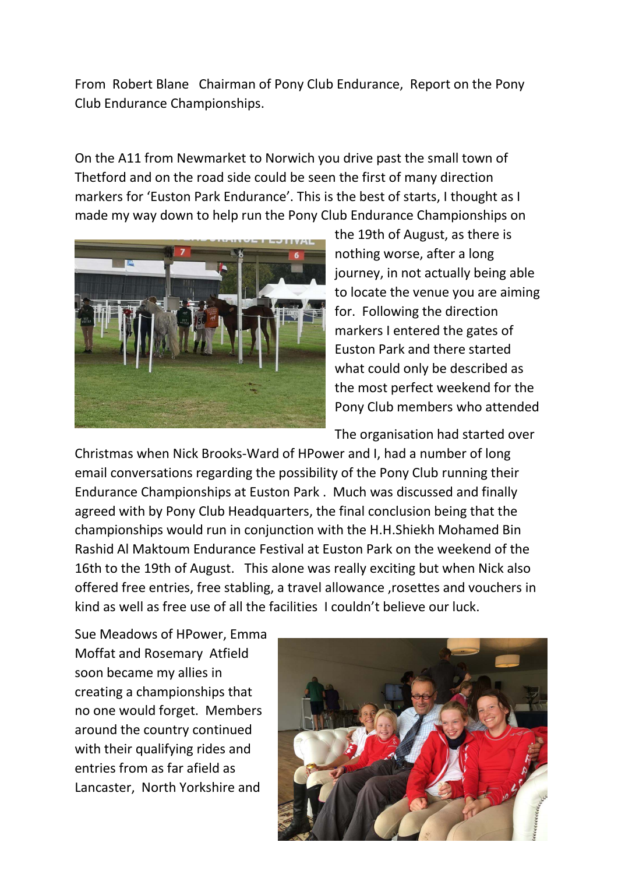From Robert Blane Chairman of Pony Club Endurance, Report on the Pony Club Endurance Championships.

On the A11 from Newmarket to Norwich you drive past the small town of Thetford and on the road side could be seen the first of many direction markers for 'Euston Park Endurance'. This is the best of starts, I thought as I made my way down to help run the Pony Club Endurance Championships on



the 19th of August, as there is nothing worse, after a long journey, in not actually being able to locate the venue you are aiming for. Following the direction markers I entered the gates of Euston Park and there started what could only be described as the most perfect weekend for the Pony Club members who attended

The organisation had started over

Christmas when Nick Brooks-Ward of HPower and I, had a number of long email conversations regarding the possibility of the Pony Club running their Endurance Championships at Euston Park . Much was discussed and finally agreed with by Pony Club Headquarters, the final conclusion being that the championships would run in conjunction with the H.H.Shiekh Mohamed Bin Rashid Al Maktoum Endurance Festival at Euston Park on the weekend of the 16th to the 19th of August. This alone was really exciting but when Nick also offered free entries, free stabling, a travel allowance ,rosettes and vouchers in kind as well as free use of all the facilities I couldn't believe our luck.

Sue Meadows of HPower, Emma Moffat and Rosemary Atfield soon became my allies in creating a championships that no one would forget. Members around the country continued with their qualifying rides and entries from as far afield as Lancaster, North Yorkshire and

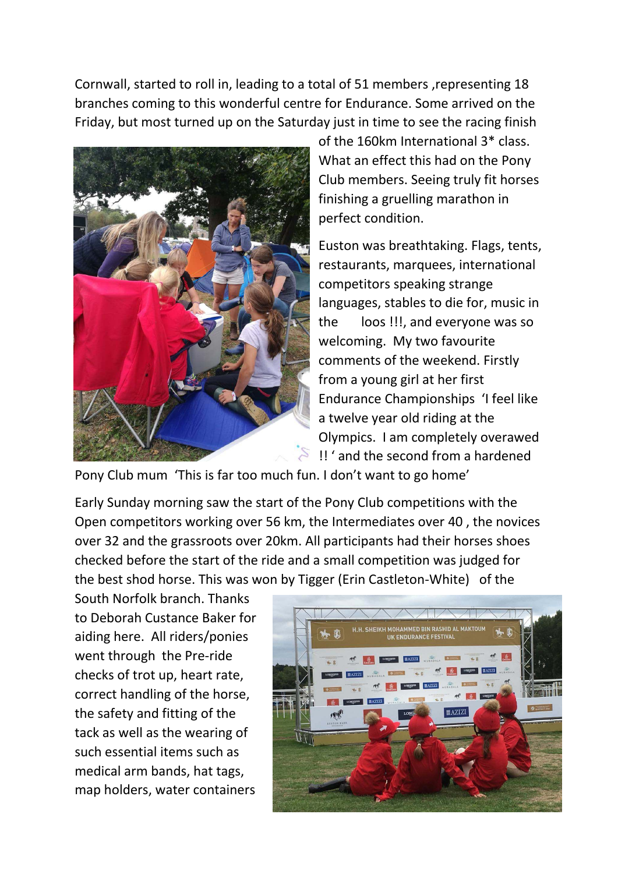Cornwall, started to roll in, leading to a total of 51 members ,representing 18 branches coming to this wonderful centre for Endurance. Some arrived on the Friday, but most turned up on the Saturday just in time to see the racing finish



of the 160km International 3\* class. What an effect this had on the Pony Club members. Seeing truly fit horses finishing a gruelling marathon in perfect condition.

Euston was breathtaking. Flags, tents, restaurants, marquees, international competitors speaking strange languages, stables to die for, music in the loos !!!, and everyone was so welcoming. My two favourite comments of the weekend. Firstly from a young girl at her first Endurance Championships 'I feel like a twelve year old riding at the Olympics. I am completely overawed !! ' and the second from a hardened

Pony Club mum 'This is far too much fun. I don't want to go home'

Early Sunday morning saw the start of the Pony Club competitions with the Open competitors working over 56 km, the Intermediates over 40 , the novices over 32 and the grassroots over 20km. All participants had their horses shoes checked before the start of the ride and a small competition was judged for the best shod horse. This was won by Tigger (Erin Castleton-White) of the

South Norfolk branch. Thanks to Deborah Custance Baker for aiding here. All riders/ponies went through the Pre-ride checks of trot up, heart rate, correct handling of the horse, the safety and fitting of the tack as well as the wearing of such essential items such as medical arm bands, hat tags, map holders, water containers